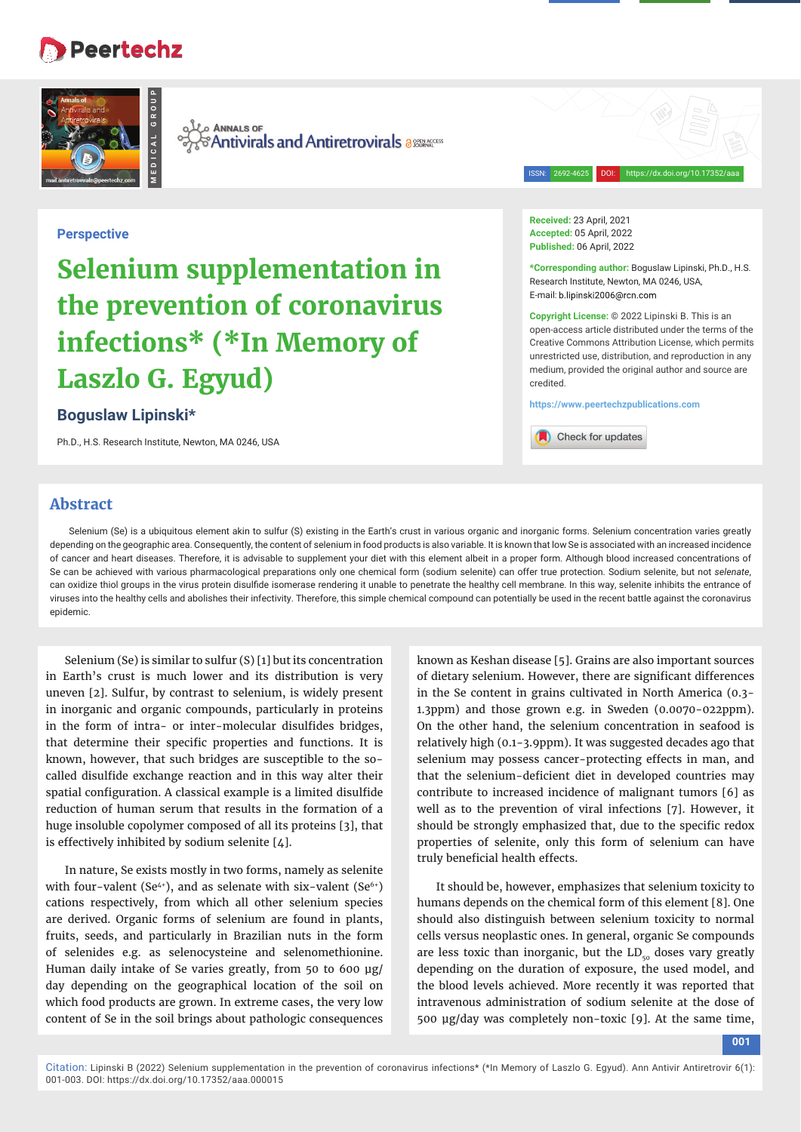# Peertechz



also Annals of *SAntivirals and Antiretrovirals assuraters* 

**Perspective**

# **Selenium supplementation in the prevention of coronavirus infections\* (\*In Memory of Laszlo G. Egyud)**

# **Boguslaw Lipinski\***

Ph.D., H.S. Research Institute, Newton, MA 0246, USA

**Received:** 23 April, 2021 **Accepted:** 05 April, 2022 **Published:** 06 April, 2022

**\*Corresponding author:** Boguslaw Lipinski, Ph.D., H.S. Research Institute, Newton, MA 0246, USA, E-mail: b.lipinski2006@rcn.com

ISSN: 2692-4625 DOI: https://dx.doi.org/10.17352/aaa

**Copyright License:** © 2022 Lipinski B. This is an open-access article distributed under the terms of the Creative Commons Attribution License, which permits unrestricted use, distribution, and reproduction in any medium, provided the original author and source are credited.

**https://www.peertechzpublications.com**



## **Abstract**

Selenium (Se) is a ubiquitous element akin to sulfur (S) existing in the Earth's crust in various organic and inorganic forms. Selenium concentration varies greatly depending on the geographic area. Consequently, the content of selenium in food products is also variable. It is known that low Se is associated with an increased incidence of cancer and heart diseases. Therefore, it is advisable to supplement your diet with this element albeit in a proper form. Although blood increased concentrations of Se can be achieved with various pharmacological preparations only one chemical form (sodium selenite) can offer true protection. Sodium selenite, but not *selenate*, can oxidize thiol groups in the virus protein disulfide isomerase rendering it unable to penetrate the healthy cell membrane. In this way, selenite inhibits the entrance of viruses into the healthy cells and abolishes their infectivity. Therefore, this simple chemical compound can potentially be used in the recent battle against the coronavirus epidemic.

Selenium (Se) is similar to sulfur (S) [1] but its concentration in Earth's crust is much lower and its distribution is very uneven [2]. Sulfur, by contrast to selenium, is widely present in inorganic and organic compounds, particularly in proteins in the form of intra- or inter-molecular disulfides bridges, that determine their specific properties and functions. It is known, however, that such bridges are susceptible to the socalled disulfide exchange reaction and in this way alter their spatial configuration. A classical example is a limited disulfide reduction of human serum that results in the formation of a huge insoluble copolymer composed of all its proteins [3], that is effectively inhibited by sodium selenite [4].

In nature, Se exists mostly in two forms, namely as selenite with four-valent (Se<sup> $4+$ </sup>), and as selenate with six-valent (Se $6+$ ) cations respectively, from which all other selenium species are derived. Organic forms of selenium are found in plants, fruits, seeds, and particularly in Brazilian nuts in the form of selenides e.g. as selenocysteine and selenomethionine. Human daily intake of Se varies greatly, from 50 to 600 μg/ day depending on the geographical location of the soil on which food products are grown. In extreme cases, the very low content of Se in the soil brings about pathologic consequences

known as Keshan disease [5]. Grains are also important sources of dietary selenium. However, there are significant differences in the Se content in grains cultivated in North America (0.3- 1.3ppm) and those grown e.g. in Sweden (0.0070-022ppm). On the other hand, the selenium concentration in seafood is relatively high (0.1-3.9ppm). It was suggested decades ago that selenium may possess cancer-protecting effects in man, and that the selenium-deficient diet in developed countries may contribute to increased incidence of malignant tumors [6] as well as to the prevention of viral infections [7]. However, it should be strongly emphasized that, due to the specific redox properties of selenite, only this form of selenium can have truly beneficial health effects.

It should be, however, emphasizes that selenium toxicity to humans depends on the chemical form of this element [8]. One should also distinguish between selenium toxicity to normal cells versus neoplastic ones. In general, organic Se compounds are less toxic than inorganic, but the  $LD_{50}$  doses vary greatly depending on the duration of exposure, the used model, and the blood levels achieved. More recently it was reported that intravenous administration of sodium selenite at the dose of 500 μg/day was completely non-toxic [9]. At the same time,

**001**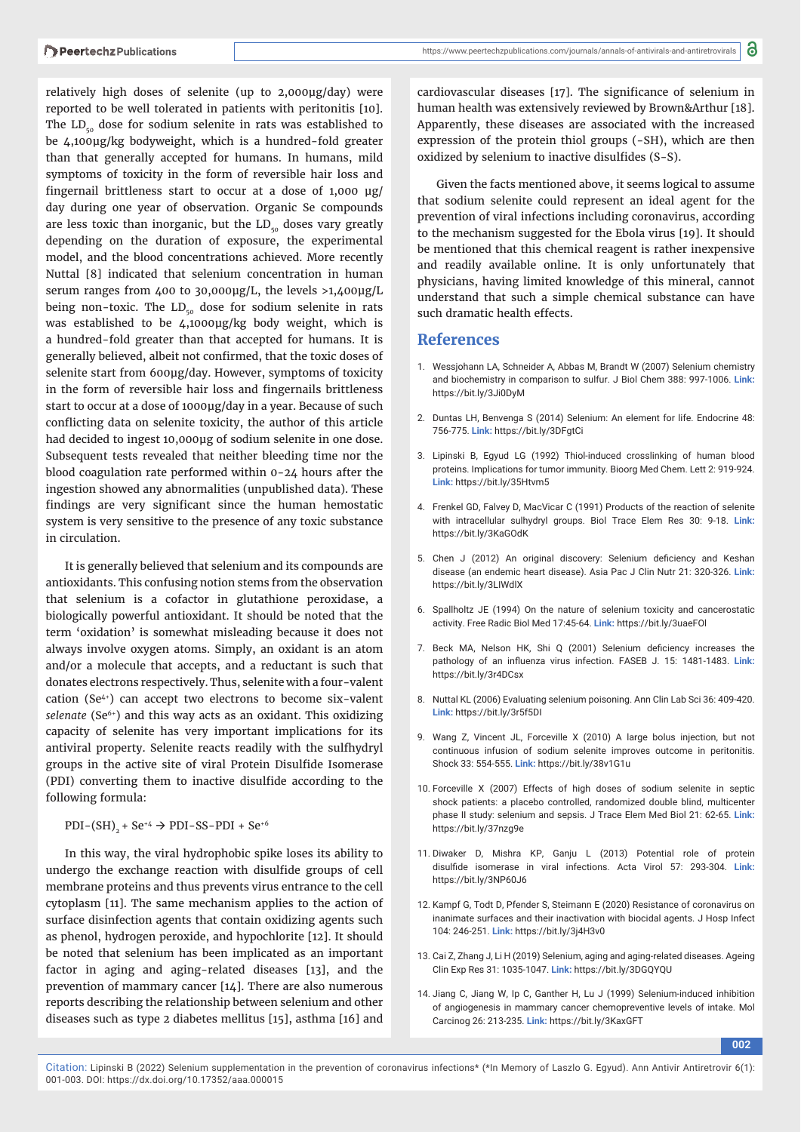relatively high doses of selenite (up to 2,000μg/day) were reported to be well tolerated in patients with peritonitis [10]. The  $LD_{50}$  dose for sodium selenite in rats was established to be 4,100μg/kg bodyweight, which is a hundred-fold greater than that generally accepted for humans. In humans, mild symptoms of toxicity in the form of reversible hair loss and fingernail brittleness start to occur at a dose of  $1,000 \mu$ g/ day during one year of observation. Organic Se compounds are less toxic than inorganic, but the  $LD_{50}$  doses vary greatly depending on the duration of exposure, the experimental model, and the blood concentrations achieved. More recently Nuttal [8] indicated that selenium concentration in human serum ranges from 400 to 30,000μg/L, the levels >1,400μg/L being non-toxic. The  $LD_{50}$  dose for sodium selenite in rats was established to be 4,1000μg/kg body weight, which is a hundred-fold greater than that accepted for humans. It is generally believed, albeit not confirmed, that the toxic doses of selenite start from 600μg/day. However, symptoms of toxicity in the form of reversible hair loss and fingernails brittleness start to occur at a dose of 1000μg/day in a year. Because of such conflicting data on selenite toxicity, the author of this article had decided to ingest 10,000μg of sodium selenite in one dose. Subsequent tests revealed that neither bleeding time nor the blood coagulation rate performed within 0-24 hours after the ingestion showed any abnormalities (unpublished data). These findings are very significant since the human hemostatic system is very sensitive to the presence of any toxic substance in circulation.

It is generally believed that selenium and its compounds are antioxidants. This confusing notion stems from the observation that selenium is a cofactor in glutathione peroxidase, a biologically powerful antioxidant. It should be noted that the term 'oxidation' is somewhat misleading because it does not always involve oxygen atoms. Simply, an oxidant is an atom and/or a molecule that accepts, and a reductant is such that donates electrons respectively. Thus, selenite with a four-valent cation (Se4+) can accept two electrons to become six-valent *selenate* (Se<sup>6+</sup>) and this way acts as an oxidant. This oxidizing capacity of selenite has very important implications for its antiviral property. Selenite reacts readily with the sulfhydryl groups in the active site of viral Protein Disulfide Isomerase (PDI) converting them to inactive disulfide according to the following formula:

 $PDI-(SH)$ <sub>2</sub> + Se<sup>+4</sup>  $\rightarrow$  PDI-SS-PDI + Se<sup>+6</sup>

In this way, the viral hydrophobic spike loses its ability to undergo the exchange reaction with disulfide groups of cell membrane proteins and thus prevents virus entrance to the cell cytoplasm [11]. The same mechanism applies to the action of surface disinfection agents that contain oxidizing agents such as phenol, hydrogen peroxide, and hypochlorite [12]. It should be noted that selenium has been implicated as an important factor in aging and aging-related diseases [13], and the prevention of mammary cancer [14]. There are also numerous reports describing the relationship between selenium and other diseases such as type 2 diabetes mellitus [15], asthma [16] and

cardiovascular diseases [17]. The significance of selenium in human health was extensively reviewed by Brown&Arthur [18]. Apparently, these diseases are associated with the increased expression of the protein thiol groups (-SH), which are then oxidized by selenium to inactive disulfides (S-S).

Given the facts mentioned above, it seems logical to assume that sodium selenite could represent an ideal agent for the prevention of viral infections including coronavirus, according to the mechanism suggested for the Ebola virus [19]. It should be mentioned that this chemical reagent is rather inexpensive and readily available online. It is only unfortunately that physicians, having limited knowledge of this mineral, cannot understand that such a simple chemical substance can have such dramatic health effects.

### **References**

- 1. Wessjohann LA, Schneider A, Abbas M, Brandt W (2007) Selenium chemistry and biochemistry in comparison to sulfur. J Biol Chem 388: 997-1006. **Link:** https://bit.ly/3Ji0DyM
- 2. Duntas LH, Benvenga S (2014) Selenium: An element for life. Endocrine 48: 756-775. **Link:** https://bit.ly/3DFgtCi
- 3. Lipinski B, Egyud LG (1992) Thiol-induced crosslinking of human blood proteins. Implications for tumor immunity. Bioorg Med Chem. Lett 2: 919-924. **Link:** https://bit.ly/35Htvm5
- 4. Frenkel GD, Falvey D, MacVicar C (1991) Products of the reaction of selenite with intracellular sulhydryl groups. Biol Trace Elem Res 30: 9-18. **Link:** https://bit.ly/3KaGOdK
- 5. Chen J (2012) An original discovery: Selenium deficiency and Keshan disease (an endemic heart disease). Asia Pac J Clin Nutr 21: 320-326. **Link:** https://bit.ly/3LIWdlX
- 6. Spallholtz JE (1994) On the nature of selenium toxicity and cancerostatic activity. Free Radic Biol Med 17:45-64. **Link:** https://bit.ly/3uaeFOl
- 7. Beck MA, Nelson HK, Shi Q (2001) Selenium deficiency increases the pathology of an influenza virus infection. FASEB J. 15: 1481-1483. Link: https://bit.ly/3r4DCsx
- 8. Nuttal KL (2006) Evaluating selenium poisoning. Ann Clin Lab Sci 36: 409-420. **Link:** https://bit.ly/3r5f5DI
- 9. Wang Z, Vincent JL, Forceville X (2010) A large bolus injection, but not continuous infusion of sodium selenite improves outcome in peritonitis. Shock 33: 554-555. **Link:** https://bit.ly/38v1G1u
- 10. Forceville X (2007) Effects of high doses of sodium selenite in septic shock patients: a placebo controlled, randomized double blind, multicenter phase II study: selenium and sepsis. J Trace Elem Med Biol 21: 62-65. **Link:** https://bit.ly/37nzg9e
- 11. Diwaker D, Mishra KP, Ganju L (2013) Potential role of protein disulfide isomerase in viral infections. Acta Virol 57: 293-304. Link: https://bit.ly/3NP60J6
- 12. Kampf G, Todt D, Pfender S, Steimann E (2020) Resistance of coronavirus on inanimate surfaces and their inactivation with biocidal agents. J Hosp Infect 104: 246-251. **Link:** https://bit.ly/3j4H3v0
- 13. Cai Z, Zhang J, Li H (2019) Selenium, aging and aging-related diseases. Ageing Clin Exp Res 31: 1035-1047. **Link:** https://bit.ly/3DGQYQU
- 14. Jiang C, Jiang W, Ip C, Ganther H, Lu J (1999) Selenium-induced inhibition of angiogenesis in mammary cancer chemopreventive levels of intake. Mol Carcinog 26: 213-235. **Link:** https://bit.ly/3KaxGFT

**002**